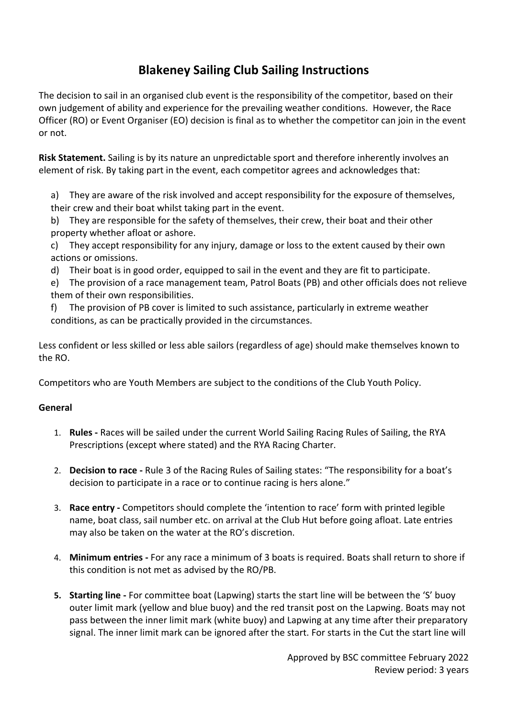# **Blakeney Sailing Club Sailing Instructions**

The decision to sail in an organised club event is the responsibility of the competitor, based on their own judgement of ability and experience for the prevailing weather conditions. However, the Race Officer (RO) or Event Organiser (EO) decision is final as to whether the competitor can join in the event or not.

**Risk Statement.** Sailing is by its nature an unpredictable sport and therefore inherently involves an element of risk. By taking part in the event, each competitor agrees and acknowledges that:

a) They are aware of the risk involved and accept responsibility for the exposure of themselves, their crew and their boat whilst taking part in the event.

b) They are responsible for the safety of themselves, their crew, their boat and their other property whether afloat or ashore.

c) They accept responsibility for any injury, damage or loss to the extent caused by their own actions or omissions.

d) Their boat is in good order, equipped to sail in the event and they are fit to participate.

e) The provision of a race management team, Patrol Boats (PB) and other officials does not relieve them of their own responsibilities.

f) The provision of PB cover is limited to such assistance, particularly in extreme weather conditions, as can be practically provided in the circumstances.

Less confident or less skilled or less able sailors (regardless of age) should make themselves known to the RO.

Competitors who are Youth Members are subject to the conditions of the Club Youth Policy.

### **General**

- 1. **Rules -** Races will be sailed under the current World Sailing Racing Rules of Sailing, the RYA Prescriptions (except where stated) and the RYA Racing Charter.
- 2. **Decision to race -** Rule 3 of the Racing Rules of Sailing states: "The responsibility for a boat's decision to participate in a race or to continue racing is hers alone."
- 3. **Race entry -** Competitors should complete the 'intention to race' form with printed legible name, boat class, sail number etc. on arrival at the Club Hut before going afloat. Late entries may also be taken on the water at the RO's discretion.
- 4. **Minimum entries -** For any race a minimum of 3 boats is required. Boats shall return to shore if this condition is not met as advised by the RO/PB.
- **5. Starting line -** For committee boat (Lapwing) starts the start line will be between the 'S' buoy outer limit mark (yellow and blue buoy) and the red transit post on the Lapwing. Boats may not pass between the inner limit mark (white buoy) and Lapwing at any time after their preparatory signal. The inner limit mark can be ignored after the start. For starts in the Cut the start line will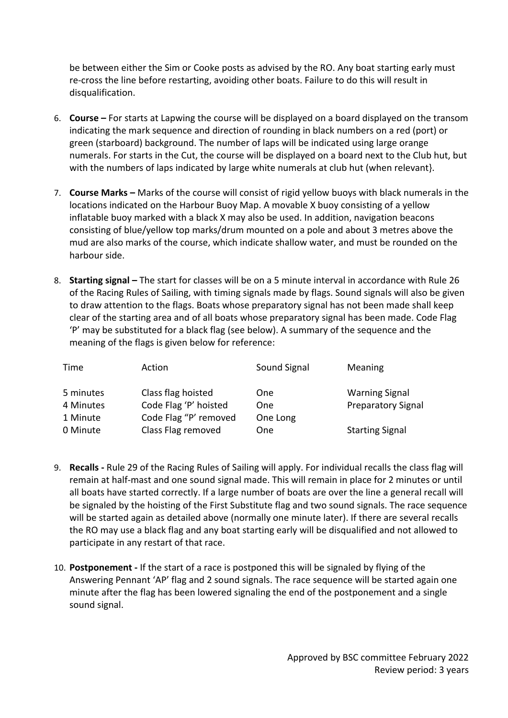be between either the Sim or Cooke posts as advised by the RO. Any boat starting early must re-cross the line before restarting, avoiding other boats. Failure to do this will result in disqualification.

- 6. **Course –** For starts at Lapwing the course will be displayed on a board displayed on the transom indicating the mark sequence and direction of rounding in black numbers on a red (port) or green (starboard) background. The number of laps will be indicated using large orange numerals. For starts in the Cut, the course will be displayed on a board next to the Club hut, but with the numbers of laps indicated by large white numerals at club hut (when relevant}.
- 7. **Course Marks –** Marks of the course will consist of rigid yellow buoys with black numerals in the locations indicated on the Harbour Buoy Map. A movable X buoy consisting of a yellow inflatable buoy marked with a black X may also be used. In addition, navigation beacons consisting of blue/yellow top marks/drum mounted on a pole and about 3 metres above the mud are also marks of the course, which indicate shallow water, and must be rounded on the harbour side.
- 8. **Starting signal –** The start for classes will be on a 5 minute interval in accordance with Rule 26 of the Racing Rules of Sailing, with timing signals made by flags. Sound signals will also be given to draw attention to the flags. Boats whose preparatory signal has not been made shall keep clear of the starting area and of all boats whose preparatory signal has been made. Code Flag 'P' may be substituted for a black flag (see below). A summary of the sequence and the meaning of the flags is given below for reference:

| Time      | Action                | Sound Signal | Meaning                   |
|-----------|-----------------------|--------------|---------------------------|
| 5 minutes | Class flag hoisted    | <b>One</b>   | <b>Warning Signal</b>     |
| 4 Minutes | Code Flag 'P' hoisted | <b>One</b>   | <b>Preparatory Signal</b> |
| 1 Minute  | Code Flag "P' removed | One Long     |                           |
| 0 Minute  | Class Flag removed    | <b>One</b>   | <b>Starting Signal</b>    |

- 9. **Recalls -** Rule 29 of the Racing Rules of Sailing will apply. For individual recalls the class flag will remain at half-mast and one sound signal made. This will remain in place for 2 minutes or until all boats have started correctly. If a large number of boats are over the line a general recall will be signaled by the hoisting of the First Substitute flag and two sound signals. The race sequence will be started again as detailed above (normally one minute later). If there are several recalls the RO may use a black flag and any boat starting early will be disqualified and not allowed to participate in any restart of that race.
- 10. **Postponement -** If the start of a race is postponed this will be signaled by flying of the Answering Pennant 'AP' flag and 2 sound signals. The race sequence will be started again one minute after the flag has been lowered signaling the end of the postponement and a single sound signal.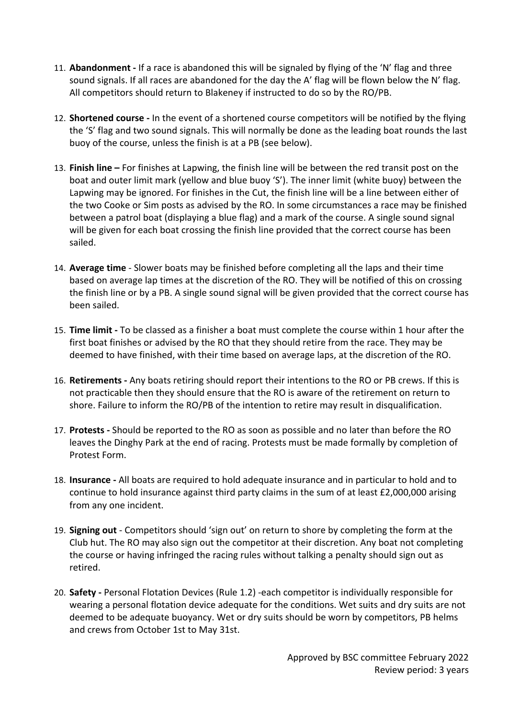- 11. **Abandonment -** If a race is abandoned this will be signaled by flying of the 'N' flag and three sound signals. If all races are abandoned for the day the A' flag will be flown below the N' flag. All competitors should return to Blakeney if instructed to do so by the RO/PB.
- 12. **Shortened course -** In the event of a shortened course competitors will be notified by the flying the 'S' flag and two sound signals. This will normally be done as the leading boat rounds the last buoy of the course, unless the finish is at a PB (see below).
- 13. **Finish line –** For finishes at Lapwing, the finish line will be between the red transit post on the boat and outer limit mark (yellow and blue buoy 'S'). The inner limit (white buoy) between the Lapwing may be ignored. For finishes in the Cut, the finish line will be a line between either of the two Cooke or Sim posts as advised by the RO. In some circumstances a race may be finished between a patrol boat (displaying a blue flag) and a mark of the course. A single sound signal will be given for each boat crossing the finish line provided that the correct course has been sailed.
- 14. **Average time** Slower boats may be finished before completing all the laps and their time based on average lap times at the discretion of the RO. They will be notified of this on crossing the finish line or by a PB. A single sound signal will be given provided that the correct course has been sailed.
- 15. **Time limit -** To be classed as a finisher a boat must complete the course within 1 hour after the first boat finishes or advised by the RO that they should retire from the race. They may be deemed to have finished, with their time based on average laps, at the discretion of the RO.
- 16. **Retirements -** Any boats retiring should report their intentions to the RO or PB crews. If this is not practicable then they should ensure that the RO is aware of the retirement on return to shore. Failure to inform the RO/PB of the intention to retire may result in disqualification.
- 17. **Protests -** Should be reported to the RO as soon as possible and no later than before the RO leaves the Dinghy Park at the end of racing. Protests must be made formally by completion of Protest Form.
- 18. **Insurance -** All boats are required to hold adequate insurance and in particular to hold and to continue to hold insurance against third party claims in the sum of at least £2,000,000 arising from any one incident.
- 19. **Signing out**  Competitors should 'sign out' on return to shore by completing the form at the Club hut. The RO may also sign out the competitor at their discretion. Any boat not completing the course or having infringed the racing rules without talking a penalty should sign out as retired.
- 20. **Safety -** Personal Flotation Devices (Rule 1.2) -each competitor is individually responsible for wearing a personal flotation device adequate for the conditions. Wet suits and dry suits are not deemed to be adequate buoyancy. Wet or dry suits should be worn by competitors, PB helms and crews from October 1st to May 31st.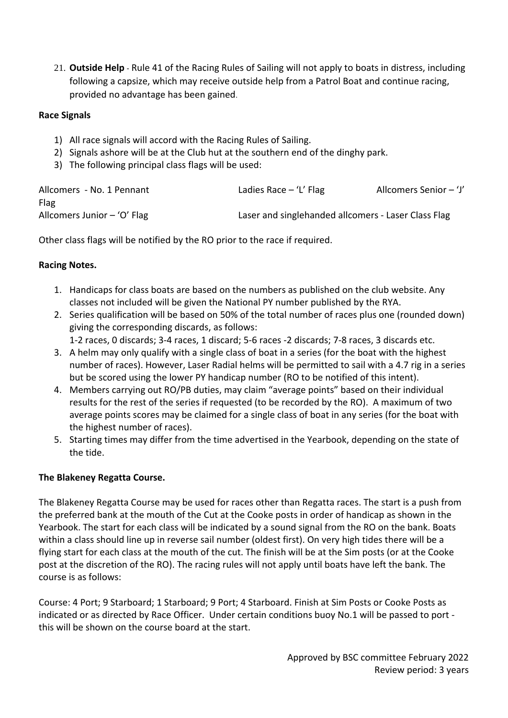21. **Outside Help** - Rule 41 of the Racing Rules of Sailing will not apply to boats in distress, including following a capsize, which may receive outside help from a Patrol Boat and continue racing, provided no advantage has been gained.

### **Race Signals**

- 1) All race signals will accord with the Racing Rules of Sailing.
- 2) Signals ashore will be at the Club hut at the southern end of the dinghy park.
- 3) The following principal class flags will be used:

| Allcomers - No. 1 Pennant     | Ladies Race $-$ 'L' Flag                            | Allcomers Senior - 'J' |
|-------------------------------|-----------------------------------------------------|------------------------|
| Flag                          |                                                     |                        |
| Allcomers Junior $-$ 'O' Flag | Laser and singlehanded allcomers - Laser Class Flag |                        |

Other class flags will be notified by the RO prior to the race if required.

## **Racing Notes.**

- 1. Handicaps for class boats are based on the numbers as published on the club website. Any classes not included will be given the National PY number published by the RYA.
- 2. Series qualification will be based on 50% of the total number of races plus one (rounded down) giving the corresponding discards, as follows:

1-2 races, 0 discards; 3-4 races, 1 discard; 5-6 races -2 discards; 7-8 races, 3 discards etc.

- 3. A helm may only qualify with a single class of boat in a series (for the boat with the highest number of races). However, Laser Radial helms will be permitted to sail with a 4.7 rig in a series but be scored using the lower PY handicap number (RO to be notified of this intent).
- 4. Members carrying out RO/PB duties, may claim "average points" based on their individual results for the rest of the series if requested (to be recorded by the RO). A maximum of two average points scores may be claimed for a single class of boat in any series (for the boat with the highest number of races).
- 5. Starting times may differ from the time advertised in the Yearbook, depending on the state of the tide.

# **The Blakeney Regatta Course.**

The Blakeney Regatta Course may be used for races other than Regatta races. The start is a push from the preferred bank at the mouth of the Cut at the Cooke posts in order of handicap as shown in the Yearbook. The start for each class will be indicated by a sound signal from the RO on the bank. Boats within a class should line up in reverse sail number (oldest first). On very high tides there will be a flying start for each class at the mouth of the cut. The finish will be at the Sim posts (or at the Cooke post at the discretion of the RO). The racing rules will not apply until boats have left the bank. The course is as follows:

Course: 4 Port; 9 Starboard; 1 Starboard; 9 Port; 4 Starboard. Finish at Sim Posts or Cooke Posts as indicated or as directed by Race Officer. Under certain conditions buoy No.1 will be passed to port this will be shown on the course board at the start.